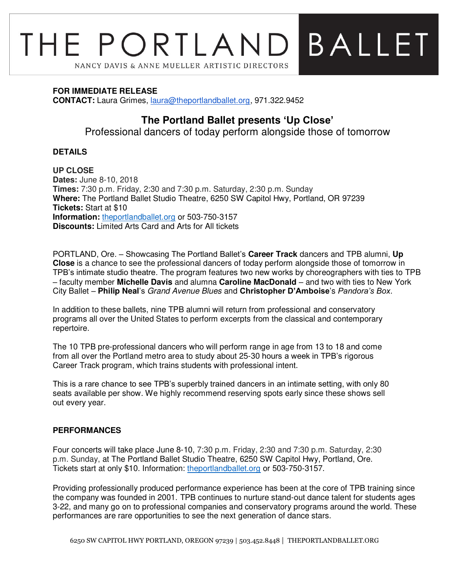# BALLET THE PORTLAND NANCY DAVIS & ANNE MUELLER ARTISTIC DIRECTORS

# **FOR IMMEDIATE RELEASE**

**CONTACT:** Laura Grimes, [laura@theportlandballet.org,](mailto:laura@theportlandballet.org) 971.322.9452

# **The Portland Ballet presents 'Up Close'**

Professional dancers of today perform alongside those of tomorrow

# **DETAILS**

**UP CLOSE Dates:** June 8-10, 2018 **Times:** 7:30 p.m. Friday, 2:30 and 7:30 p.m. Saturday, 2:30 p.m. Sunday **Where:** The Portland Ballet Studio Theatre, 6250 SW Capitol Hwy, Portland, OR 97239 **Tickets:** Start at \$10 **Information:** [theportlandballet.org](https://theportlandballet.org/) or 503-750-3157 **Discounts:** Limited Arts Card and Arts for All tickets

PORTLAND, Ore. – Showcasing The Portland Ballet's **Career Track** dancers and TPB alumni, **Up Close** is a chance to see the professional dancers of today perform alongside those of tomorrow in TPB's intimate studio theatre. The program features two new works by choreographers with ties to TPB – faculty member **Michelle Davis** and alumna **Caroline MacDonald** – and two with ties to New York City Ballet – **Philip Neal**'s Grand Avenue Blues and **Christopher D'Amboise**'s *Pandora's Box*.

In addition to these ballets, nine TPB alumni will return from professional and conservatory programs all over the United States to perform excerpts from the classical and contemporary repertoire.

The 10 TPB pre-professional dancers who will perform range in age from 13 to 18 and come from all over the Portland metro area to study about 25-30 hours a week in TPB's rigorous Career Track program, which trains students with professional intent.

This is a rare chance to see TPB's superbly trained dancers in an intimate setting, with only 80 seats available per show. We highly recommend reserving spots early since these shows sell out every year.

# **PERFORMANCES**

Four concerts will take place June 8-10, 7:30 p.m. Friday, 2:30 and 7:30 p.m. Saturday, 2:30 p.m. Sunday, at The Portland Ballet Studio Theatre, 6250 SW Capitol Hwy, Portland, Ore. Tickets start at only \$10. Information: [theportlandballet.org](https://theportlandballet.org/) or 503-750-3157.

Providing professionally produced performance experience has been at the core of TPB training since the company was founded in 2001. TPB continues to nurture stand-out dance talent for students ages 3-22, and many go on to professional companies and conservatory programs around the world. These performances are rare opportunities to see the next generation of dance stars.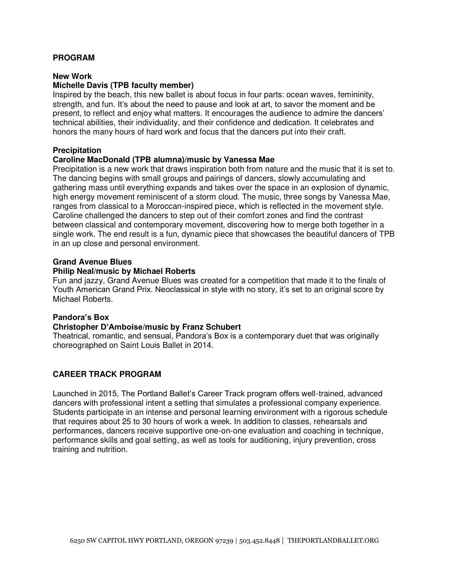### **PROGRAM**

#### **New Work**

#### **Michelle Davis (TPB faculty member)**

Inspired by the beach, this new ballet is about focus in four parts: ocean waves, femininity, strength, and fun. It's about the need to pause and look at art, to savor the moment and be present, to reflect and enjoy what matters. It encourages the audience to admire the dancers' technical abilities, their individuality, and their confidence and dedication. It celebrates and honors the many hours of hard work and focus that the dancers put into their craft.

#### **Precipitation**

#### **Caroline MacDonald (TPB alumna)/music by Vanessa Mae**

Precipitation is a new work that draws inspiration both from nature and the music that it is set to. The dancing begins with small groups and pairings of dancers, slowly accumulating and gathering mass until everything expands and takes over the space in an explosion of dynamic, high energy movement reminiscent of a storm cloud. The music, three songs by Vanessa Mae, ranges from classical to a Moroccan-inspired piece, which is reflected in the movement style. Caroline challenged the dancers to step out of their comfort zones and find the contrast between classical and contemporary movement, discovering how to merge both together in a single work. The end result is a fun, dynamic piece that showcases the beautiful dancers of TPB in an up close and personal environment.

#### **Grand Avenue Blues**

#### **Philip Neal/music by Michael Roberts**

Fun and jazzy, Grand Avenue Blues was created for a competition that made it to the finals of Youth American Grand Prix. Neoclassical in style with no story, it's set to an original score by Michael Roberts.

#### **Pandora's Box**

#### **Christopher D'Amboise/music by Franz Schubert**

Theatrical, romantic, and sensual, Pandora's Box is a contemporary duet that was originally choreographed on Saint Louis Ballet in 2014.

#### **CAREER TRACK PROGRAM**

Launched in 2015, The Portland Ballet's Career Track program offers well-trained, advanced dancers with professional intent a setting that simulates a professional company experience. Students participate in an intense and personal learning environment with a rigorous schedule that requires about 25 to 30 hours of work a week. In addition to classes, rehearsals and performances, dancers receive supportive one-on-one evaluation and coaching in technique, performance skills and goal setting, as well as tools for auditioning, injury prevention, cross training and nutrition.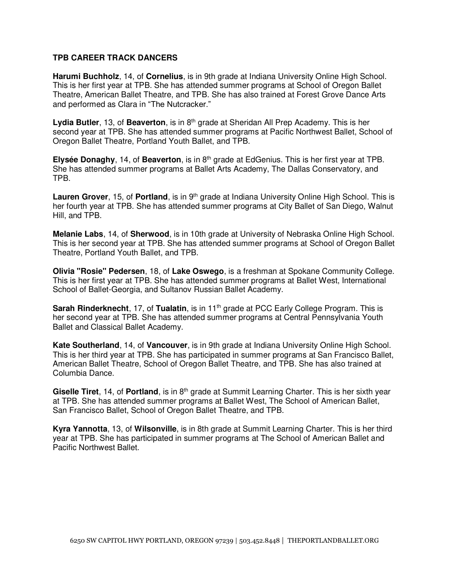## **TPB CAREER TRACK DANCERS**

**Harumi Buchholz**, 14, of **Cornelius**, is in 9th grade at Indiana University Online High School. This is her first year at TPB. She has attended summer programs at School of Oregon Ballet Theatre, American Ballet Theatre, and TPB. She has also trained at Forest Grove Dance Arts and performed as Clara in "The Nutcracker."

Lydia Butler, 13, of Beaverton, is in 8<sup>th</sup> grade at Sheridan All Prep Academy. This is her second year at TPB. She has attended summer programs at Pacific Northwest Ballet, School of Oregon Ballet Theatre, Portland Youth Ballet, and TPB.

**Elysée Donaghy**, 14, of **Beaverton**, is in 8<sup>th</sup> grade at EdGenius. This is her first year at TPB. She has attended summer programs at Ballet Arts Academy, The Dallas Conservatory, and TPB.

**Lauren Grover**, 15, of **Portland**, is in 9<sup>th</sup> grade at Indiana University Online High School. This is her fourth year at TPB. She has attended summer programs at City Ballet of San Diego, Walnut Hill, and TPB.

**Melanie Labs**, 14, of **Sherwood**, is in 10th grade at University of Nebraska Online High School. This is her second year at TPB. She has attended summer programs at School of Oregon Ballet Theatre, Portland Youth Ballet, and TPB.

**Olivia "Rosie" Pedersen**, 18, of **Lake Oswego**, is a freshman at Spokane Community College. This is her first year at TPB. She has attended summer programs at Ballet West, International School of Ballet-Georgia, and Sultanov Russian Ballet Academy.

**Sarah Rinderknecht**, 17, of **Tualatin**, is in 11th grade at PCC Early College Program. This is her second year at TPB. She has attended summer programs at Central Pennsylvania Youth Ballet and Classical Ballet Academy.

**Kate Southerland**, 14, of **Vancouver**, is in 9th grade at Indiana University Online High School. This is her third year at TPB. She has participated in summer programs at San Francisco Ballet, American Ballet Theatre, School of Oregon Ballet Theatre, and TPB. She has also trained at Columbia Dance.

Giselle Tiret, 14, of Portland, is in 8<sup>th</sup> grade at Summit Learning Charter. This is her sixth year at TPB. She has attended summer programs at Ballet West, The School of American Ballet, San Francisco Ballet, School of Oregon Ballet Theatre, and TPB.

**Kyra Yannotta**, 13, of **Wilsonville**, is in 8th grade at Summit Learning Charter. This is her third year at TPB. She has participated in summer programs at The School of American Ballet and Pacific Northwest Ballet.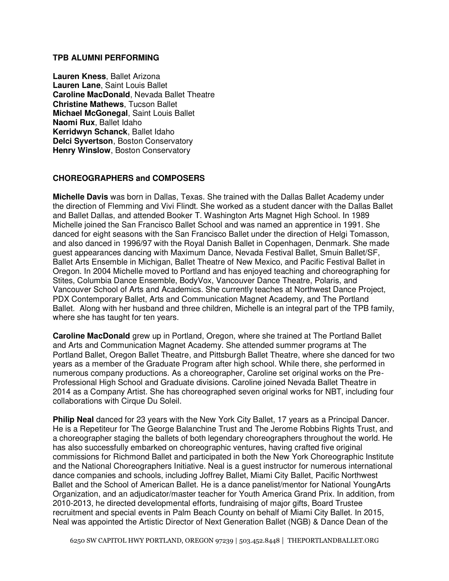#### **TPB ALUMNI PERFORMING**

**Lauren Kness**, Ballet Arizona **Lauren Lane**, Saint Louis Ballet **Caroline MacDonald**, Nevada Ballet Theatre **Christine Mathews**, Tucson Ballet **Michael McGonegal**, Saint Louis Ballet **Naomi Rux**, Ballet Idaho **Kerridwyn Schanck**, Ballet Idaho **Delci Syvertson**, Boston Conservatory **Henry Winslow, Boston Conservatory** 

# **CHOREOGRAPHERS and COMPOSERS**

**Michelle Davis** was born in Dallas, Texas. She trained with the Dallas Ballet Academy under the direction of Flemming and Vivi Flindt. She worked as a student dancer with the Dallas Ballet and Ballet Dallas, and attended Booker T. Washington Arts Magnet High School. In 1989 Michelle joined the San Francisco Ballet School and was named an apprentice in 1991. She danced for eight seasons with the San Francisco Ballet under the direction of Helgi Tomasson, and also danced in 1996/97 with the Royal Danish Ballet in Copenhagen, Denmark. She made guest appearances dancing with Maximum Dance, Nevada Festival Ballet, Smuin Ballet/SF, Ballet Arts Ensemble in Michigan, Ballet Theatre of New Mexico, and Pacific Festival Ballet in Oregon. In 2004 Michelle moved to Portland and has enjoyed teaching and choreographing for Stites, Columbia Dance Ensemble, BodyVox, Vancouver Dance Theatre, Polaris, and Vancouver School of Arts and Academics. She currently teaches at Northwest Dance Project, PDX Contemporary Ballet, Arts and Communication Magnet Academy, and The Portland Ballet. Along with her husband and three children, Michelle is an integral part of the TPB family, where she has taught for ten years.

**Caroline MacDonald** grew up in Portland, Oregon, where she trained at The Portland Ballet and Arts and Communication Magnet Academy. She attended summer programs at The Portland Ballet, Oregon Ballet Theatre, and Pittsburgh Ballet Theatre, where she danced for two years as a member of the Graduate Program after high school. While there, she performed in numerous company productions. As a choreographer, Caroline set original works on the Pre-Professional High School and Graduate divisions. Caroline joined Nevada Ballet Theatre in 2014 as a Company Artist. She has choreographed seven original works for NBT, including four collaborations with Cirque Du Soleil.

**Philip Neal** danced for 23 years with the New York City Ballet, 17 years as a Principal Dancer. He is a Repetiteur for The George Balanchine Trust and The Jerome Robbins Rights Trust, and a choreographer staging the ballets of both legendary choreographers throughout the world. He has also successfully embarked on choreographic ventures, having crafted five original commissions for Richmond Ballet and participated in both the New York Choreographic Institute and the National Choreographers Initiative. Neal is a guest instructor for numerous international dance companies and schools, including Joffrey Ballet, Miami City Ballet, Pacific Northwest Ballet and the School of American Ballet. He is a dance panelist/mentor for National YoungArts Organization, and an adjudicator/master teacher for Youth America Grand Prix. In addition, from 2010-2013, he directed developmental efforts, fundraising of major gifts, Board Trustee recruitment and special events in Palm Beach County on behalf of Miami City Ballet. In 2015, Neal was appointed the Artistic Director of Next Generation Ballet (NGB) & Dance Dean of the